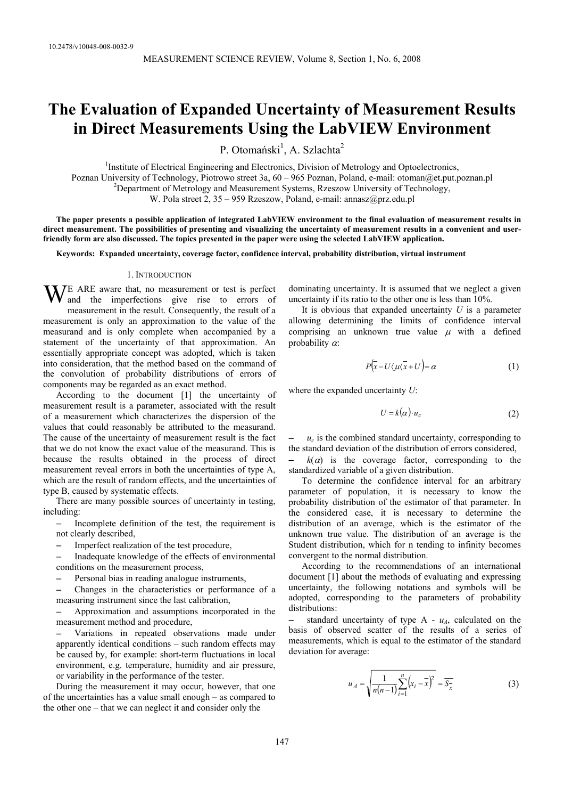# **The Evaluation of Expanded Uncertainty of Measurement Results in Direct Measurements Using the LabVIEW Environment**

P. Otomański<sup>1</sup>, A. Szlachta<sup>2</sup>

<sup>1</sup>Institute of Electrical Engineering and Electronics, Division of Metrology and Optoelectronics, Poznan University of Technology, Piotrowo street 3a, 60 – 965 Poznan, Poland, e-mail: otoman@et.put.poznan.pl Department of Metrology and Measurement Systems, Rzeszow University of Technology,

W. Pola street 2, 35 – 959 Rzeszow, Poland, e-mail: annasz@prz.edu.pl

**The paper presents a possible application of integrated LabVIEW environment to the final evaluation of measurement results in direct measurement. The possibilities of presenting and visualizing the uncertainty of measurement results in a convenient and userfriendly form are also discussed. The topics presented in the paper were using the selected LabVIEW application.** 

**Keywords: Expanded uncertainty, coverage factor, confidence interval, probability distribution, virtual instrument** 

#### 1. INTRODUCTION

WE ARE aware that, no measurement or test is perfect and the imperfections give rise to errors of and the imperfections give rise to errors of measurement in the result. Consequently, the result of a measurement is only an approximation to the value of the measurand and is only complete when accompanied by a statement of the uncertainty of that approximation. An essentially appropriate concept was adopted, which is taken into consideration, that the method based on the command of the convolution of probability distributions of errors of components may be regarded as an exact method.

According to the document [1] the uncertainty of measurement result is a parameter, associated with the result of a measurement which characterizes the dispersion of the values that could reasonably be attributed to the measurand. The cause of the uncertainty of measurement result is the fact that we do not know the exact value of the measurand. This is because the results obtained in the process of direct measurement reveal errors in both the uncertainties of type A, which are the result of random effects, and the uncertainties of type B, caused by systematic effects.

There are many possible sources of uncertainty in testing, including:

Incomplete definition of the test, the requirement is not clearly described,

− Imperfect realization of the test procedure,

− Inadequate knowledge of the effects of environmental conditions on the measurement process,

Personal bias in reading analogue instruments,

− Changes in the characteristics or performance of a measuring instrument since the last calibration,

− Approximation and assumptions incorporated in the measurement method and procedure,

Variations in repeated observations made under apparently identical conditions – such random effects may be caused by, for example: short-term fluctuations in local environment, e.g. temperature, humidity and air pressure, or variability in the performance of the tester.

During the measurement it may occur, however, that one of the uncertainties has a value small enough – as compared to the other one – that we can neglect it and consider only the

dominating uncertainty. It is assumed that we neglect a given uncertainty if its ratio to the other one is less than 10%.

It is obvious that expanded uncertainty *U* is a parameter allowing determining the limits of confidence interval comprising an unknown true value  $\mu$  with a defined probability  $\alpha$ :

$$
P(\overline{x} - U\langle \mu \langle \overline{x} + U \rangle) = \alpha \tag{1}
$$

where the expanded uncertainty *U*:

$$
U = k(\alpha) \cdot u_c \tag{2}
$$

 $u_c$  is the combined standard uncertainty, corresponding to the standard deviation of the distribution of errors considered,  $k(\alpha)$  is the coverage factor, corresponding to the standardized variable of a given distribution.

To determine the confidence interval for an arbitrary parameter of population, it is necessary to know the probability distribution of the estimator of that parameter. In the considered case, it is necessary to determine the distribution of an average, which is the estimator of the unknown true value. The distribution of an average is the Student distribution, which for n tending to infinity becomes convergent to the normal distribution.

According to the recommendations of an international document [1] about the methods of evaluating and expressing uncertainty, the following notations and symbols will be adopted, corresponding to the parameters of probability distributions:

− standard uncertainty of type A - *uA*, calculated on the basis of observed scatter of the results of a series of measurements, which is equal to the estimator of the standard deviation for average:

$$
u_A = \sqrt{\frac{1}{n(n-1)} \sum_{i=1}^{n} (x_i - \overline{x})^2} = \overline{S}_{\overline{x}} \tag{3}
$$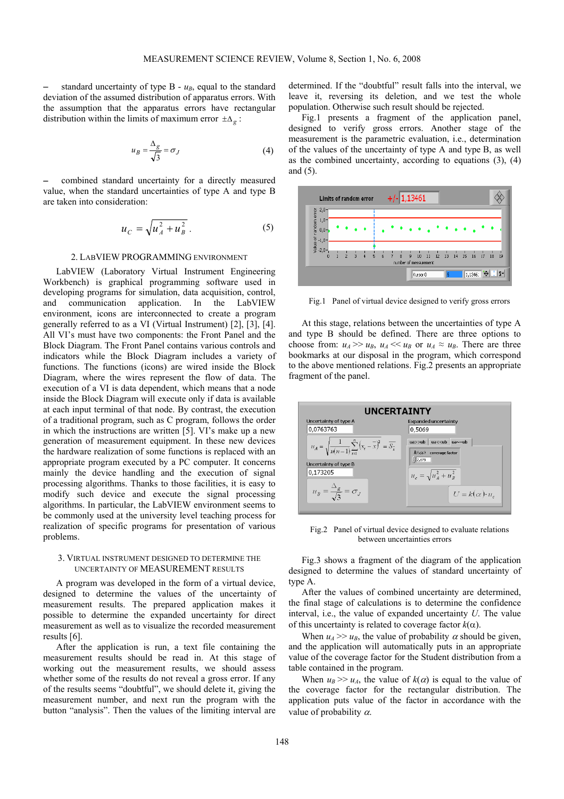standard uncertainty of type  $B - u_B$ , equal to the standard deviation of the assumed distribution of apparatus errors. With the assumption that the apparatus errors have rectangular distribution within the limits of maximum error ±∆*<sup>g</sup>* :

$$
u_B = \frac{\Delta_g}{\sqrt{3}} = \sigma_J \tag{4}
$$

combined standard uncertainty for a directly measured value, when the standard uncertainties of type A and type B are taken into consideration:

$$
u_C = \sqrt{u_A^2 + u_B^2} \,. \tag{5}
$$

#### 2. LABVIEW PROGRAMMING ENVIRONMENT

LabVIEW (Laboratory Virtual Instrument Engineering Workbench) is graphical programming software used in developing programs for simulation, data acquisition, control, and communication application. In the LabVIEW environment, icons are interconnected to create a program generally referred to as a VI (Virtual Instrument) [2], [3], [4]. All VI's must have two components: the Front Panel and the Block Diagram. The Front Panel contains various controls and indicators while the Block Diagram includes a variety of functions. The functions (icons) are wired inside the Block Diagram, where the wires represent the flow of data. The execution of a VI is data dependent, which means that a node inside the Block Diagram will execute only if data is available at each input terminal of that node. By contrast, the execution of a traditional program, such as C program, follows the order in which the instructions are written [5]. VI's make up a new generation of measurement equipment. In these new devices the hardware realization of some functions is replaced with an appropriate program executed by a PC computer. It concerns mainly the device handling and the execution of signal processing algorithms. Thanks to those facilities, it is easy to modify such device and execute the signal processing algorithms. In particular, the LabVIEW environment seems to be commonly used at the university level teaching process for realization of specific programs for presentation of various problems.

## 3. VIRTUAL INSTRUMENT DESIGNED TO DETERMINE THE UNCERTAINTY OF MEASUREMENT RESULTS

A program was developed in the form of a virtual device, designed to determine the values of the uncertainty of measurement results. The prepared application makes it possible to determine the expanded uncertainty for direct measurement as well as to visualize the recorded measurement results [6].

After the application is run, a text file containing the measurement results should be read in. At this stage of working out the measurement results, we should assess whether some of the results do not reveal a gross error. If any of the results seems "doubtful", we should delete it, giving the measurement number, and next run the program with the button "analysis". Then the values of the limiting interval are

determined. If the "doubtful" result falls into the interval, we leave it, reversing its deletion, and we test the whole population. Otherwise such result should be rejected.

Fig.1 presents a fragment of the application panel, designed to verify gross errors. Another stage of the measurement is the parametric evaluation, i.e., determination of the values of the uncertainty of type A and type B, as well as the combined uncertainty, according to equations (3), (4) and (5).



Fig.1 Panel of virtual device designed to verify gross errors

At this stage, relations between the uncertainties of type A and type B should be defined. There are three options to choose from:  $u_A \gg u_B$ ,  $u_A \ll u_B$  or  $u_A \approx u_B$ . There are three bookmarks at our disposal in the program, which correspond to the above mentioned relations. Fig.2 presents an appropriate fragment of the panel.



Fig.2 Panel of virtual device designed to evaluate relations between uncertainties errors

Fig.3 shows a fragment of the diagram of the application designed to determine the values of standard uncertainty of type A.

After the values of combined uncertainty are determined, the final stage of calculations is to determine the confidence interval, i.e., the value of expanded uncertainty *U*. The value of this uncertainty is related to coverage factor  $k(\alpha)$ .

When  $u_A \gg u_B$ , the value of probability  $\alpha$  should be given, and the application will automatically puts in an appropriate value of the coverage factor for the Student distribution from a table contained in the program.

When  $u_B \gg u_A$ , the value of  $k(\alpha)$  is equal to the value of the coverage factor for the rectangular distribution. The application puts value of the factor in accordance with the value of probability  $\alpha$ .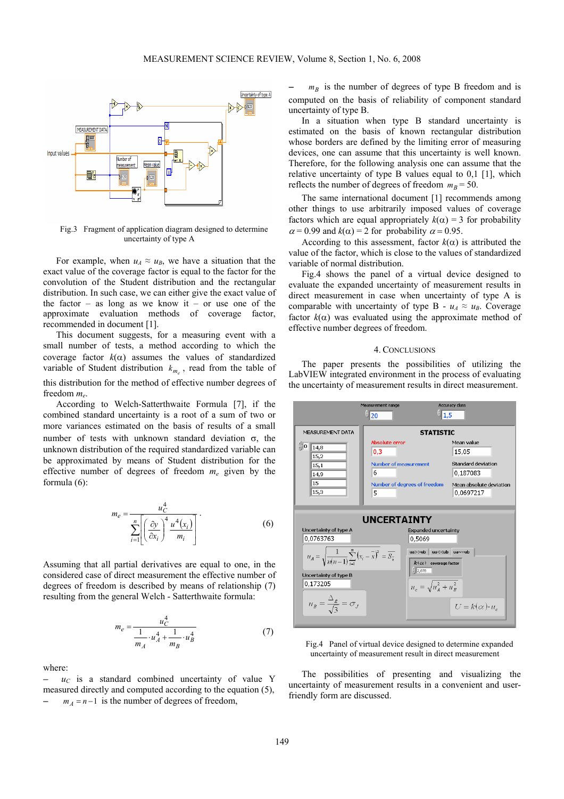

Fig.3 Fragment of application diagram designed to determine uncertainty of type A

For example, when  $u_A \approx u_B$ , we have a situation that the exact value of the coverage factor is equal to the factor for the convolution of the Student distribution and the rectangular distribution. In such case, we can either give the exact value of the factor – as long as we know it – or use one of the approximate evaluation methods of coverage factor, recommended in document [1].

This document suggests, for a measuring event with a small number of tests, a method according to which the coverage factor  $k(\alpha)$  assumes the values of standardized variable of Student distribution  $k_{m}$ , read from the table of this distribution for the method of effective number degrees of freedom *me*.

According to Welch-Satterthwaite Formula [7], if the combined standard uncertainty is a root of a sum of two or more variances estimated on the basis of results of a small number of tests with unknown standard deviation  $σ$ , the unknown distribution of the required standardized variable can be approximated by means of Student distribution for the effective number of degrees of freedom *me* given by the formula (6):

$$
m_e = \frac{u_C^4}{\sum_{i=1}^n \left[ \left( \frac{\partial y}{\partial x_i} \right)^4 \frac{u^4(x_i)}{m_i} \right]}.
$$
 (6)

Assuming that all partial derivatives are equal to one, in the considered case of direct measurement the effective number of degrees of freedom is described by means of relationship (7) resulting from the general Welch - Satterthwaite formula:

$$
m_e = \frac{u_C^4}{\frac{1}{m_A} \cdot u_A^4 + \frac{1}{m_B} \cdot u_B^4}
$$
 (7)

where:

 $u_C$  is a standard combined uncertainty of value Y measured directly and computed according to the equation (5),  $m_A = n - 1$  is the number of degrees of freedom,

 $m_B$  is the number of degrees of type B freedom and is computed on the basis of reliability of component standard uncertainty of type B.

In a situation when type B standard uncertainty is estimated on the basis of known rectangular distribution whose borders are defined by the limiting error of measuring devices, one can assume that this uncertainty is well known. Therefore, for the following analysis one can assume that the relative uncertainty of type B values equal to 0,1 [1], which reflects the number of degrees of freedom  $m_B = 50$ .

The same international document [1] recommends among other things to use arbitrarily imposed values of coverage factors which are equal appropriately  $k(\alpha) = 3$  for probability  $\alpha$  = 0.99 and  $k(\alpha)$  = 2 for probability  $\alpha$  = 0.95.

According to this assessment, factor  $k(\alpha)$  is attributed the value of the factor, which is close to the values of standardized variable of normal distribution.

Fig.4 shows the panel of a virtual device designed to evaluate the expanded uncertainty of measurement results in direct measurement in case when uncertainty of type A is comparable with uncertainty of type B -  $u_A \approx u_B$ . Coverage factor  $k(\alpha)$  was evaluated using the approximate method of effective number degrees of freedom.

## 4. CONCLUSIONS

The paper presents the possibilities of utilizing the LabVIEW integrated environment in the process of evaluating the uncertainty of measurement results in direct measurement.



Fig.4 Panel of virtual device designed to determine expanded uncertainty of measurement result in direct measurement

The possibilities of presenting and visualizing the uncertainty of measurement results in a convenient and userfriendly form are discussed.